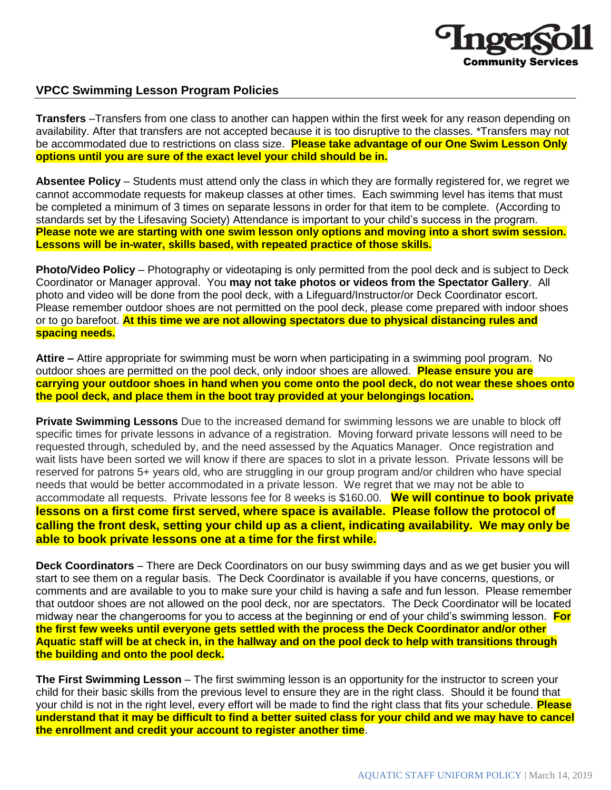

# **VPCC Swimming Lesson Program Policies**

**Transfers** –Transfers from one class to another can happen within the first week for any reason depending on availability. After that transfers are not accepted because it is too disruptive to the classes. \*Transfers may not be accommodated due to restrictions on class size. **Please take advantage of our One Swim Lesson Only options until you are sure of the exact level your child should be in.**

**Absentee Policy** – Students must attend only the class in which they are formally registered for, we regret we cannot accommodate requests for makeup classes at other times. Each swimming level has items that must be completed a minimum of 3 times on separate lessons in order for that item to be complete. (According to standards set by the Lifesaving Society) Attendance is important to your child's success in the program. **Please note we are starting with one swim lesson only options and moving into a short swim session. Lessons will be in-water, skills based, with repeated practice of those skills.**

**Photo/Video Policy** – Photography or videotaping is only permitted from the pool deck and is subject to Deck Coordinator or Manager approval. You **may not take photos or videos from the Spectator Gallery**. All photo and video will be done from the pool deck, with a Lifeguard/Instructor/or Deck Coordinator escort. Please remember outdoor shoes are not permitted on the pool deck, please come prepared with indoor shoes or to go barefoot. **At this time we are not allowing spectators due to physical distancing rules and spacing needs.**

**Attire –** Attire appropriate for swimming must be worn when participating in a swimming pool program. No outdoor shoes are permitted on the pool deck, only indoor shoes are allowed. **Please ensure you are carrying your outdoor shoes in hand when you come onto the pool deck, do not wear these shoes onto the pool deck, and place them in the boot tray provided at your belongings location.**

**Private Swimming Lessons** Due to the increased demand for swimming lessons we are unable to block off specific times for private lessons in advance of a registration. Moving forward private lessons will need to be requested through, scheduled by, and the need assessed by the Aquatics Manager. Once registration and wait lists have been sorted we will know if there are spaces to slot in a private lesson. Private lessons will be reserved for patrons 5+ years old, who are struggling in our group program and/or children who have special needs that would be better accommodated in a private lesson. We regret that we may not be able to accommodate all requests. Private lessons fee for 8 weeks is \$160.00. **We will continue to book private lessons on a first come first served, where space is available. Please follow the protocol of calling the front desk, setting your child up as a client, indicating availability. We may only be able to book private lessons one at a time for the first while.** 

**Deck Coordinators** – There are Deck Coordinators on our busy swimming days and as we get busier you will start to see them on a regular basis. The Deck Coordinator is available if you have concerns, questions, or comments and are available to you to make sure your child is having a safe and fun lesson. Please remember that outdoor shoes are not allowed on the pool deck, nor are spectators. The Deck Coordinator will be located midway near the changerooms for you to access at the beginning or end of your child's swimming lesson. **For the first few weeks until everyone gets settled with the process the Deck Coordinator and/or other Aquatic staff will be at check in, in the hallway and on the pool deck to help with transitions through the building and onto the pool deck.** 

**The First Swimming Lesson** – The first swimming lesson is an opportunity for the instructor to screen your child for their basic skills from the previous level to ensure they are in the right class. Should it be found that your child is not in the right level, every effort will be made to find the right class that fits your schedule. **Please understand that it may be difficult to find a better suited class for your child and we may have to cancel the enrollment and credit your account to register another time**.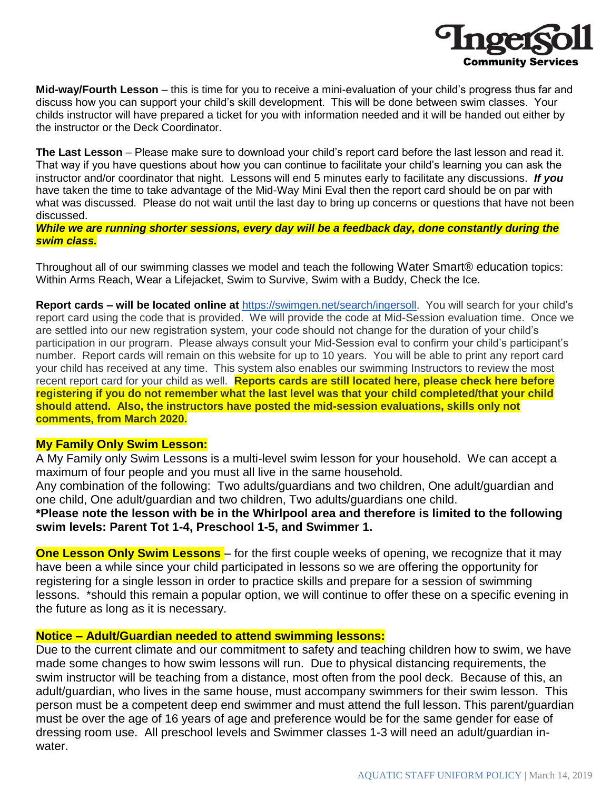

**Mid-way/Fourth Lesson** – this is time for you to receive a mini-evaluation of your child's progress thus far and discuss how you can support your child's skill development. This will be done between swim classes. Your childs instructor will have prepared a ticket for you with information needed and it will be handed out either by the instructor or the Deck Coordinator.

**The Last Lesson** – Please make sure to download your child's report card before the last lesson and read it. That way if you have questions about how you can continue to facilitate your child's learning you can ask the instructor and/or coordinator that night. Lessons will end 5 minutes early to facilitate any discussions. *If you*  have taken the time to take advantage of the Mid-Way Mini Eval then the report card should be on par with what was discussed. Please do not wait until the last day to bring up concerns or questions that have not been discussed.

*While we are running shorter sessions, every day will be a feedback day, done constantly during the swim class.*

Throughout all of our swimming classes we model and teach the following Water Smart® education topics: Within Arms Reach, Wear a Lifejacket, Swim to Survive, Swim with a Buddy, Check the Ice.

**Report cards – will be located online at** [https://swimgen.net/search/ingersoll.](https://swimgen.net/search/ingersoll) You will search for your child's report card using the code that is provided. We will provide the code at Mid-Session evaluation time. Once we are settled into our new registration system, your code should not change for the duration of your child's participation in our program. Please always consult your Mid-Session eval to confirm your child's participant's number. Report cards will remain on this website for up to 10 years. You will be able to print any report card your child has received at any time. This system also enables our swimming Instructors to review the most recent report card for your child as well. **Reports cards are still located here, please check here before registering if you do not remember what the last level was that your child completed/that your child should attend. Also, the instructors have posted the mid-session evaluations, skills only not comments, from March 2020.**

## **My Family Only Swim Lesson:**

A My Family only Swim Lessons is a multi-level swim lesson for your household. We can accept a maximum of four people and you must all live in the same household.

Any combination of the following: Two adults/guardians and two children, One adult/guardian and one child, One adult/guardian and two children, Two adults/guardians one child.

**\*Please note the lesson with be in the Whirlpool area and therefore is limited to the following swim levels: Parent Tot 1-4, Preschool 1-5, and Swimmer 1.**

**One Lesson Only Swim Lessons** – for the first couple weeks of opening, we recognize that it may have been a while since your child participated in lessons so we are offering the opportunity for registering for a single lesson in order to practice skills and prepare for a session of swimming lessons. \*should this remain a popular option, we will continue to offer these on a specific evening in the future as long as it is necessary.

## **Notice – Adult/Guardian needed to attend swimming lessons:**

Due to the current climate and our commitment to safety and teaching children how to swim, we have made some changes to how swim lessons will run. Due to physical distancing requirements, the swim instructor will be teaching from a distance, most often from the pool deck. Because of this, an adult/guardian, who lives in the same house, must accompany swimmers for their swim lesson. This person must be a competent deep end swimmer and must attend the full lesson. This parent/guardian must be over the age of 16 years of age and preference would be for the same gender for ease of dressing room use. All preschool levels and Swimmer classes 1-3 will need an adult/guardian inwater.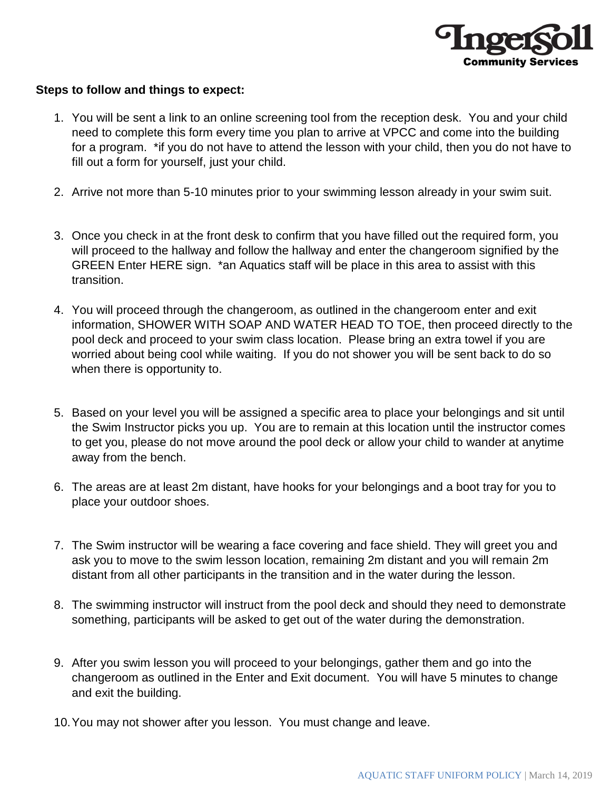

# **Steps to follow and things to expect:**

- 1. You will be sent a link to an online screening tool from the reception desk. You and your child need to complete this form every time you plan to arrive at VPCC and come into the building for a program. \*if you do not have to attend the lesson with your child, then you do not have to fill out a form for yourself, just your child.
- 2. Arrive not more than 5-10 minutes prior to your swimming lesson already in your swim suit.
- 3. Once you check in at the front desk to confirm that you have filled out the required form, you will proceed to the hallway and follow the hallway and enter the changeroom signified by the GREEN Enter HERE sign. \*an Aquatics staff will be place in this area to assist with this transition.
- 4. You will proceed through the changeroom, as outlined in the changeroom enter and exit information, SHOWER WITH SOAP AND WATER HEAD TO TOE, then proceed directly to the pool deck and proceed to your swim class location. Please bring an extra towel if you are worried about being cool while waiting. If you do not shower you will be sent back to do so when there is opportunity to.
- 5. Based on your level you will be assigned a specific area to place your belongings and sit until the Swim Instructor picks you up. You are to remain at this location until the instructor comes to get you, please do not move around the pool deck or allow your child to wander at anytime away from the bench.
- 6. The areas are at least 2m distant, have hooks for your belongings and a boot tray for you to place your outdoor shoes.
- 7. The Swim instructor will be wearing a face covering and face shield. They will greet you and ask you to move to the swim lesson location, remaining 2m distant and you will remain 2m distant from all other participants in the transition and in the water during the lesson.
- 8. The swimming instructor will instruct from the pool deck and should they need to demonstrate something, participants will be asked to get out of the water during the demonstration.
- 9. After you swim lesson you will proceed to your belongings, gather them and go into the changeroom as outlined in the Enter and Exit document. You will have 5 minutes to change and exit the building.
- 10.You may not shower after you lesson. You must change and leave.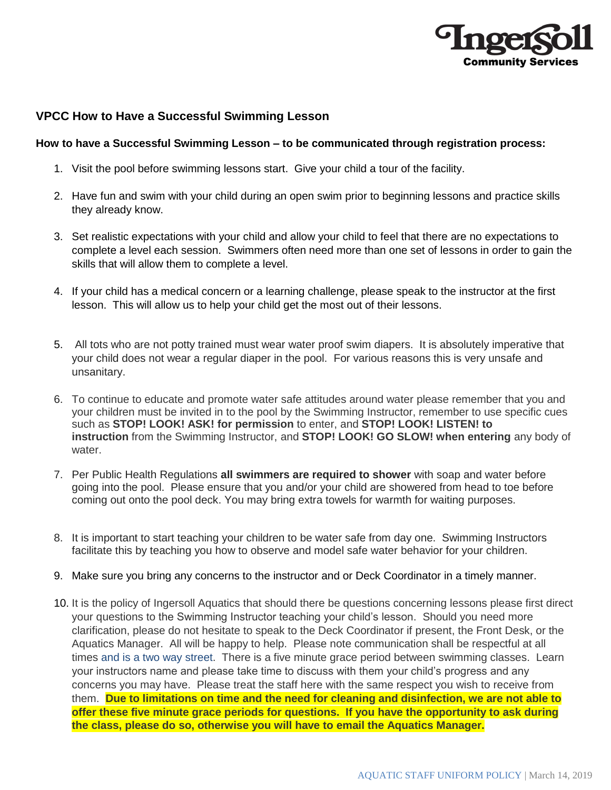

# **VPCC How to Have a Successful Swimming Lesson**

#### **How to have a Successful Swimming Lesson – to be communicated through registration process:**

- 1. Visit the pool before swimming lessons start. Give your child a tour of the facility.
- 2. Have fun and swim with your child during an open swim prior to beginning lessons and practice skills they already know.
- 3. Set realistic expectations with your child and allow your child to feel that there are no expectations to complete a level each session. Swimmers often need more than one set of lessons in order to gain the skills that will allow them to complete a level.
- 4. If your child has a medical concern or a learning challenge, please speak to the instructor at the first lesson. This will allow us to help your child get the most out of their lessons.
- 5. All tots who are not potty trained must wear water proof swim diapers. It is absolutely imperative that your child does not wear a regular diaper in the pool. For various reasons this is very unsafe and unsanitary.
- 6. To continue to educate and promote water safe attitudes around water please remember that you and your children must be invited in to the pool by the Swimming Instructor, remember to use specific cues such as **STOP! LOOK! ASK! for permission** to enter, and **STOP! LOOK! LISTEN! to instruction** from the Swimming Instructor, and **STOP! LOOK! GO SLOW! when entering** any body of water.
- 7. Per Public Health Regulations **all swimmers are required to shower** with soap and water before going into the pool. Please ensure that you and/or your child are showered from head to toe before coming out onto the pool deck. You may bring extra towels for warmth for waiting purposes.
- 8. It is important to start teaching your children to be water safe from day one. Swimming Instructors facilitate this by teaching you how to observe and model safe water behavior for your children.
- 9. Make sure you bring any concerns to the instructor and or Deck Coordinator in a timely manner.
- 10. It is the policy of Ingersoll Aquatics that should there be questions concerning lessons please first direct your questions to the Swimming Instructor teaching your child's lesson. Should you need more clarification, please do not hesitate to speak to the Deck Coordinator if present, the Front Desk, or the Aquatics Manager. All will be happy to help. Please note communication shall be respectful at all times and is a two way street. There is a five minute grace period between swimming classes. Learn your instructors name and please take time to discuss with them your child's progress and any concerns you may have. Please treat the staff here with the same respect you wish to receive from them. **Due to limitations on time and the need for cleaning and disinfection, we are not able to offer these five minute grace periods for questions. If you have the opportunity to ask during the class, please do so, otherwise you will have to email the Aquatics Manager.**